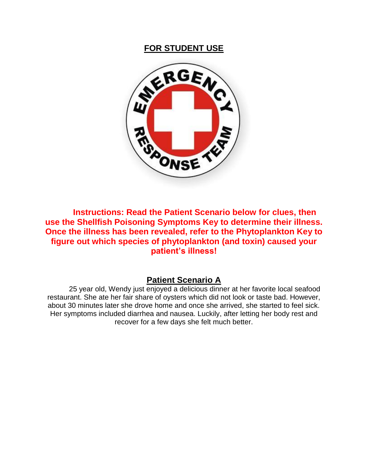

**Instructions: Read the Patient Scenario below for clues, then use the Shellfish Poisoning Symptoms Key to determine their illness. Once the illness has been revealed, refer to the Phytoplankton Key to figure out which species of phytoplankton (and toxin) caused your patient's illness!**

# **Patient Scenario A**

25 year old, Wendy just enjoyed a delicious dinner at her favorite local seafood restaurant. She ate her fair share of oysters which did not look or taste bad. However, about 30 minutes later she drove home and once she arrived, she started to feel sick. Her symptoms included diarrhea and nausea. Luckily, after letting her body rest and recover for a few days she felt much better.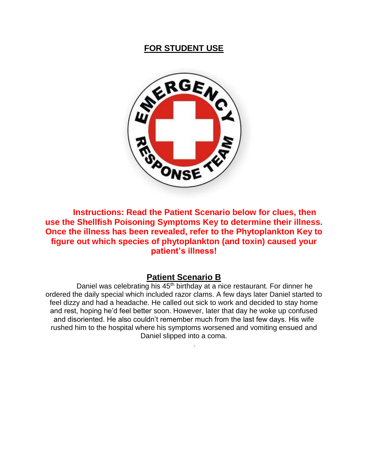

**Instructions: Read the Patient Scenario below for clues, then use the Shellfish Poisoning Symptoms Key to determine their illness. Once the illness has been revealed, refer to the Phytoplankton Key to figure out which species of phytoplankton (and toxin) caused your patient's illness!**

#### **Patient Scenario B**

Daniel was celebrating his 45<sup>th</sup> birthday at a nice restaurant. For dinner he ordered the daily special which included razor clams. A few days later Daniel started to feel dizzy and had a headache. He called out sick to work and decided to stay home and rest, hoping he'd feel better soon. However, later that day he woke up confused and disoriented. He also couldn't remember much from the last few days. His wife rushed him to the hospital where his symptoms worsened and vomiting ensued and Daniel slipped into a coma.

.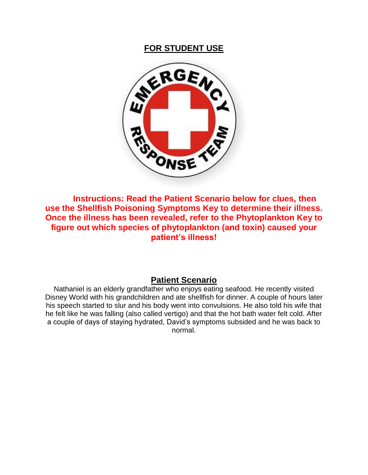

**Instructions: Read the Patient Scenario below for clues, then use the Shellfish Poisoning Symptoms Key to determine their illness. Once the illness has been revealed, refer to the Phytoplankton Key to figure out which species of phytoplankton (and toxin) caused your patient's illness!**

## **Patient Scenario**

Nathaniel is an elderly grandfather who enjoys eating seafood. He recently visited Disney World with his grandchildren and ate shellfish for dinner. A couple of hours later his speech started to slur and his body went into convulsions. He also told his wife that he felt like he was falling (also called vertigo) and that the hot bath water felt cold. After a couple of days of staying hydrated, David's symptoms subsided and he was back to normal.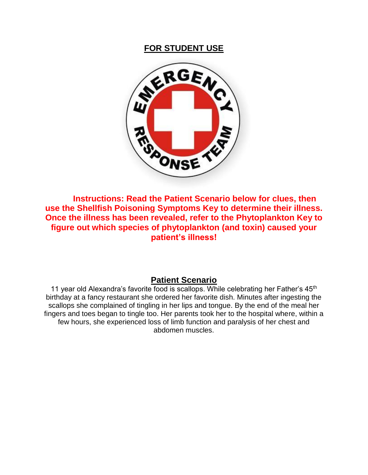

**Instructions: Read the Patient Scenario below for clues, then use the Shellfish Poisoning Symptoms Key to determine their illness. Once the illness has been revealed, refer to the Phytoplankton Key to figure out which species of phytoplankton (and toxin) caused your patient's illness!**

## **Patient Scenario**

11 year old Alexandra's favorite food is scallops. While celebrating her Father's 45<sup>th</sup> birthday at a fancy restaurant she ordered her favorite dish. Minutes after ingesting the scallops she complained of tingling in her lips and tongue. By the end of the meal her fingers and toes began to tingle too. Her parents took her to the hospital where, within a few hours, she experienced loss of limb function and paralysis of her chest and abdomen muscles.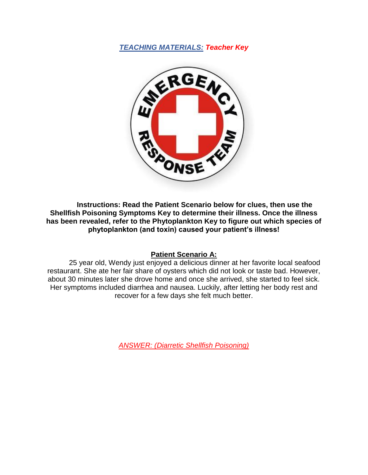

**Instructions: Read the Patient Scenario below for clues, then use the Shellfish Poisoning Symptoms Key to determine their illness. Once the illness has been revealed, refer to the Phytoplankton Key to figure out which species of phytoplankton (and toxin) caused your patient's illness!**

#### **Patient Scenario A:**

25 year old, Wendy just enjoyed a delicious dinner at her favorite local seafood restaurant. She ate her fair share of oysters which did not look or taste bad. However, about 30 minutes later she drove home and once she arrived, she started to feel sick. Her symptoms included diarrhea and nausea. Luckily, after letting her body rest and recover for a few days she felt much better.

*ANSWER: (Diarretic Shellfish Poisoning)*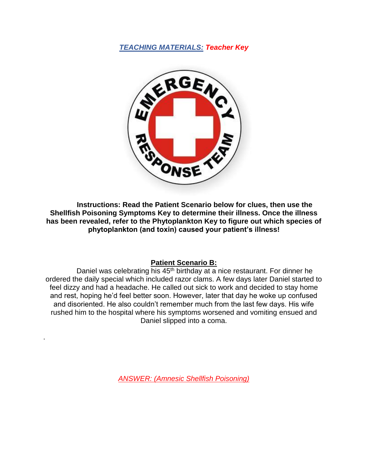

**Instructions: Read the Patient Scenario below for clues, then use the Shellfish Poisoning Symptoms Key to determine their illness. Once the illness has been revealed, refer to the Phytoplankton Key to figure out which species of phytoplankton (and toxin) caused your patient's illness!**

#### **Patient Scenario B:**

Daniel was celebrating his 45<sup>th</sup> birthday at a nice restaurant. For dinner he ordered the daily special which included razor clams. A few days later Daniel started to feel dizzy and had a headache. He called out sick to work and decided to stay home and rest, hoping he'd feel better soon. However, later that day he woke up confused and disoriented. He also couldn't remember much from the last few days. His wife rushed him to the hospital where his symptoms worsened and vomiting ensued and Daniel slipped into a coma.

*ANSWER: (Amnesic Shellfish Poisoning)*

.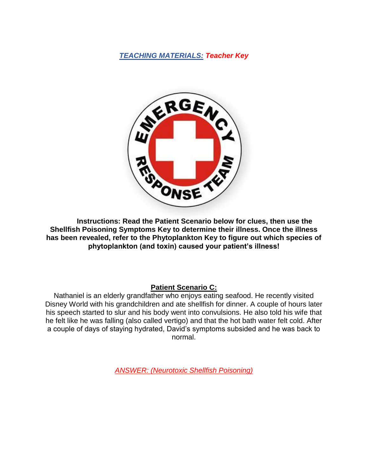

**Instructions: Read the Patient Scenario below for clues, then use the Shellfish Poisoning Symptoms Key to determine their illness. Once the illness has been revealed, refer to the Phytoplankton Key to figure out which species of phytoplankton (and toxin) caused your patient's illness!**

## **Patient Scenario C:**

Nathaniel is an elderly grandfather who enjoys eating seafood. He recently visited Disney World with his grandchildren and ate shellfish for dinner. A couple of hours later his speech started to slur and his body went into convulsions. He also told his wife that he felt like he was falling (also called vertigo) and that the hot bath water felt cold. After a couple of days of staying hydrated, David's symptoms subsided and he was back to normal.

*ANSWER: (Neurotoxic Shellfish Poisoning)*